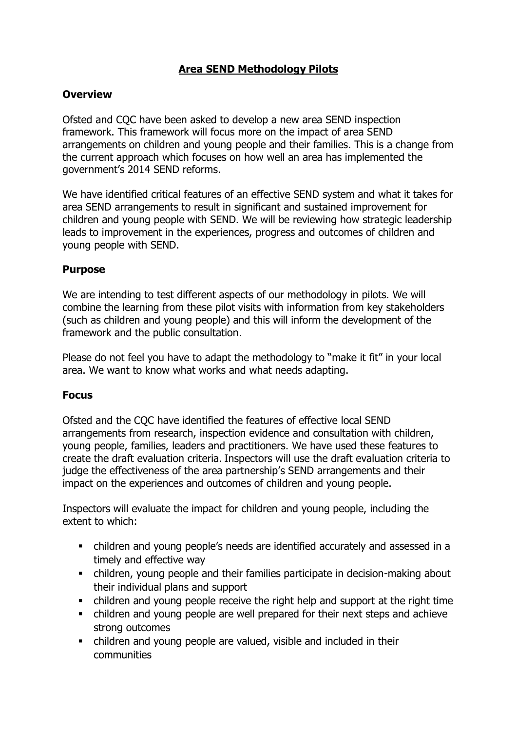# **Area SEND Methodology Pilots**

### **Overview**

Ofsted and CQC have been asked to develop a new area SEND inspection framework. This framework will focus more on the impact of area SEND arrangements on children and young people and their families. This is a change from the current approach which focuses on how well an area has implemented the government's 2014 SEND reforms.

We have identified critical features of an effective SEND system and what it takes for area SEND arrangements to result in significant and sustained improvement for children and young people with SEND. We will be reviewing how strategic leadership leads to improvement in the experiences, progress and outcomes of children and young people with SEND.

## **Purpose**

We are intending to test different aspects of our methodology in pilots. We will combine the learning from these pilot visits with information from key stakeholders (such as children and young people) and this will inform the development of the framework and the public consultation.

Please do not feel you have to adapt the methodology to "make it fit" in your local area. We want to know what works and what needs adapting.

### **Focus**

Ofsted and the CQC have identified the features of effective local SEND arrangements from research, inspection evidence and consultation with children, young people, families, leaders and practitioners. We have used these features to create the draft evaluation criteria. Inspectors will use the draft evaluation criteria to judge the effectiveness of the area partnership's SEND arrangements and their impact on the experiences and outcomes of children and young people.

Inspectors will evaluate the impact for children and young people, including the extent to which:

- children and young people's needs are identified accurately and assessed in a timely and effective way
- children, young people and their families participate in decision-making about their individual plans and support
- children and young people receive the right help and support at the right time
- children and young people are well prepared for their next steps and achieve strong outcomes
- children and young people are valued, visible and included in their communities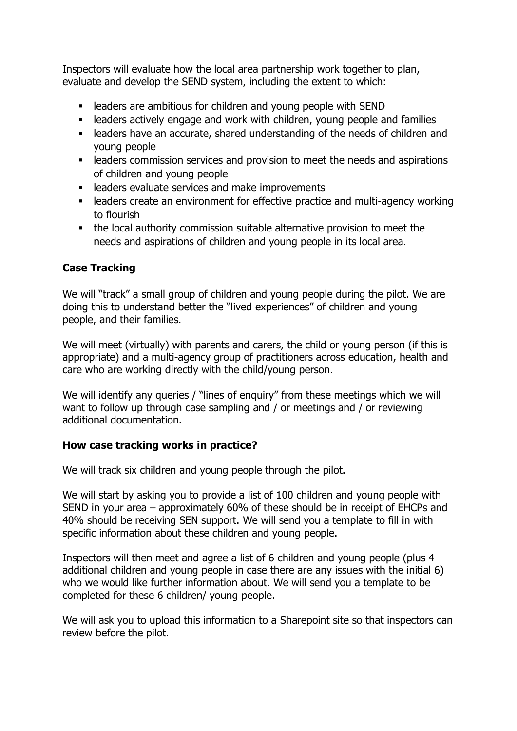Inspectors will evaluate how the local area partnership work together to plan, evaluate and develop the SEND system, including the extent to which:

- leaders are ambitious for children and young people with SEND
- **EXECT** leaders actively engage and work with children, young people and families
- **EXEC** leaders have an accurate, shared understanding of the needs of children and young people
- **EXECTE EXECTE FIELD EXECTE FIELD** is leaders commission services and aspirations of children and young people
- leaders evaluate services and make improvements
- leaders create an environment for effective practice and multi-agency working to flourish
- **•** the local authority commission suitable alternative provision to meet the needs and aspirations of children and young people in its local area.

## **Case Tracking**

We will "track" a small group of children and young people during the pilot. We are doing this to understand better the "lived experiences" of children and young people, and their families.

We will meet (virtually) with parents and carers, the child or young person (if this is appropriate) and a multi-agency group of practitioners across education, health and care who are working directly with the child/young person.

We will identify any queries / "lines of enquiry" from these meetings which we will want to follow up through case sampling and / or meetings and / or reviewing additional documentation.

### **How case tracking works in practice?**

We will track six children and young people through the pilot.

We will start by asking you to provide a list of 100 children and young people with SEND in your area – approximately 60% of these should be in receipt of EHCPs and 40% should be receiving SEN support. We will send you a template to fill in with specific information about these children and young people.

Inspectors will then meet and agree a list of 6 children and young people (plus 4 additional children and young people in case there are any issues with the initial 6) who we would like further information about. We will send you a template to be completed for these 6 children/ young people.

We will ask you to upload this information to a Sharepoint site so that inspectors can review before the pilot.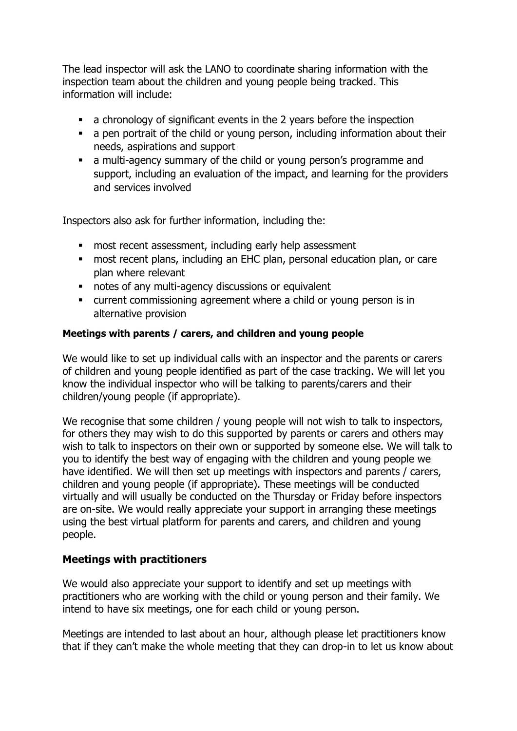The lead inspector will ask the LANO to coordinate sharing information with the inspection team about the children and young people being tracked. This information will include:

- a chronology of significant events in the 2 years before the inspection
- **■** a pen portrait of the child or young person, including information about their needs, aspirations and support
- **E** a multi-agency summary of the child or young person's programme and support, including an evaluation of the impact, and learning for the providers and services involved

Inspectors also ask for further information, including the:

- most recent assessment, including early help assessment
- **most recent plans, including an EHC plan, personal education plan, or care** plan where relevant
- notes of any multi-agency discussions or equivalent
- current commissioning agreement where a child or young person is in alternative provision

### **Meetings with parents / carers, and children and young people**

We would like to set up individual calls with an inspector and the parents or carers of children and young people identified as part of the case tracking. We will let you know the individual inspector who will be talking to parents/carers and their children/young people (if appropriate).

We recognise that some children / young people will not wish to talk to inspectors, for others they may wish to do this supported by parents or carers and others may wish to talk to inspectors on their own or supported by someone else. We will talk to you to identify the best way of engaging with the children and young people we have identified. We will then set up meetings with inspectors and parents / carers, children and young people (if appropriate). These meetings will be conducted virtually and will usually be conducted on the Thursday or Friday before inspectors are on-site. We would really appreciate your support in arranging these meetings using the best virtual platform for parents and carers, and children and young people.

# **Meetings with practitioners**

We would also appreciate your support to identify and set up meetings with practitioners who are working with the child or young person and their family. We intend to have six meetings, one for each child or young person.

Meetings are intended to last about an hour, although please let practitioners know that if they can't make the whole meeting that they can drop-in to let us know about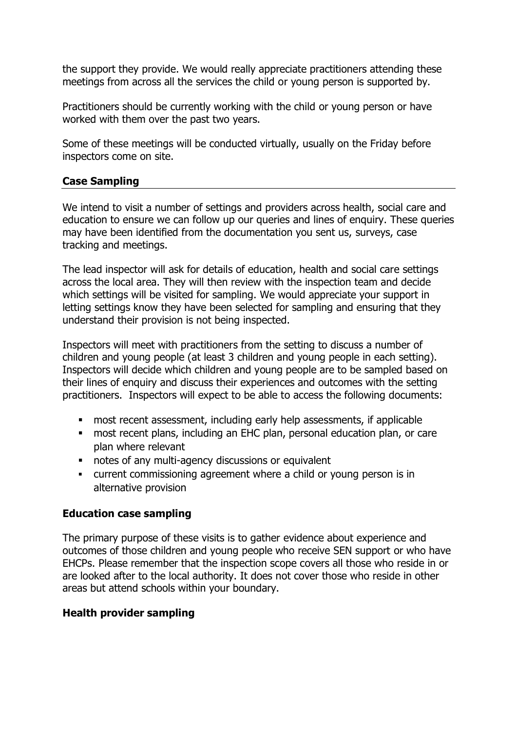the support they provide. We would really appreciate practitioners attending these meetings from across all the services the child or young person is supported by.

Practitioners should be currently working with the child or young person or have worked with them over the past two years.

Some of these meetings will be conducted virtually, usually on the Friday before inspectors come on site.

### **Case Sampling**

We intend to visit a number of settings and providers across health, social care and education to ensure we can follow up our queries and lines of enquiry. These queries may have been identified from the documentation you sent us, surveys, case tracking and meetings.

The lead inspector will ask for details of education, health and social care settings across the local area. They will then review with the inspection team and decide which settings will be visited for sampling. We would appreciate your support in letting settings know they have been selected for sampling and ensuring that they understand their provision is not being inspected.

Inspectors will meet with practitioners from the setting to discuss a number of children and young people (at least 3 children and young people in each setting). Inspectors will decide which children and young people are to be sampled based on their lines of enquiry and discuss their experiences and outcomes with the setting practitioners. Inspectors will expect to be able to access the following documents:

- most recent assessment, including early help assessments, if applicable
- most recent plans, including an EHC plan, personal education plan, or care plan where relevant
- notes of any multi-agency discussions or equivalent
- current commissioning agreement where a child or young person is in alternative provision

### **Education case sampling**

The primary purpose of these visits is to gather evidence about experience and outcomes of those children and young people who receive SEN support or who have EHCPs. Please remember that the inspection scope covers all those who reside in or are looked after to the local authority. It does not cover those who reside in other areas but attend schools within your boundary.

### **Health provider sampling**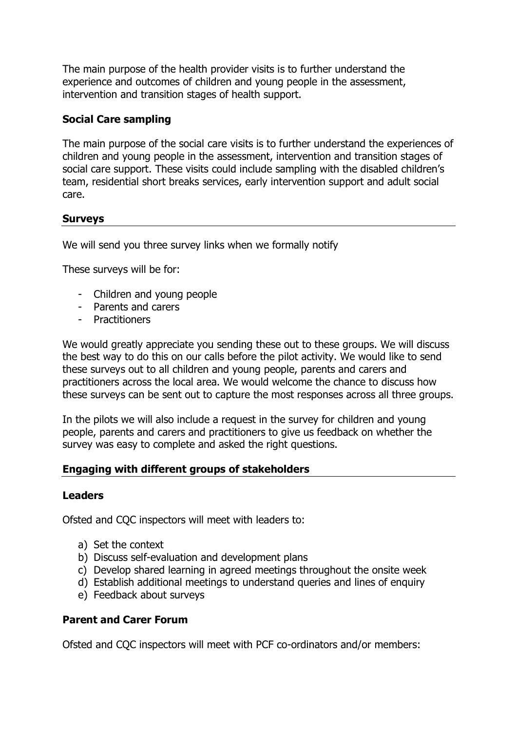The main purpose of the health provider visits is to further understand the experience and outcomes of children and young people in the assessment, intervention and transition stages of health support.

### **Social Care sampling**

The main purpose of the social care visits is to further understand the experiences of children and young people in the assessment, intervention and transition stages of social care support. These visits could include sampling with the disabled children's team, residential short breaks services, early intervention support and adult social care.

### **Surveys**

We will send you three survey links when we formally notify

These surveys will be for:

- Children and young people
- Parents and carers
- Practitioners

We would greatly appreciate you sending these out to these groups. We will discuss the best way to do this on our calls before the pilot activity. We would like to send these surveys out to all children and young people, parents and carers and practitioners across the local area. We would welcome the chance to discuss how these surveys can be sent out to capture the most responses across all three groups.

In the pilots we will also include a request in the survey for children and young people, parents and carers and practitioners to give us feedback on whether the survey was easy to complete and asked the right questions.

### **Engaging with different groups of stakeholders**

#### **Leaders**

Ofsted and CQC inspectors will meet with leaders to:

- a) Set the context
- b) Discuss self-evaluation and development plans
- c) Develop shared learning in agreed meetings throughout the onsite week
- d) Establish additional meetings to understand queries and lines of enquiry
- e) Feedback about surveys

### **Parent and Carer Forum**

Ofsted and CQC inspectors will meet with PCF co-ordinators and/or members: